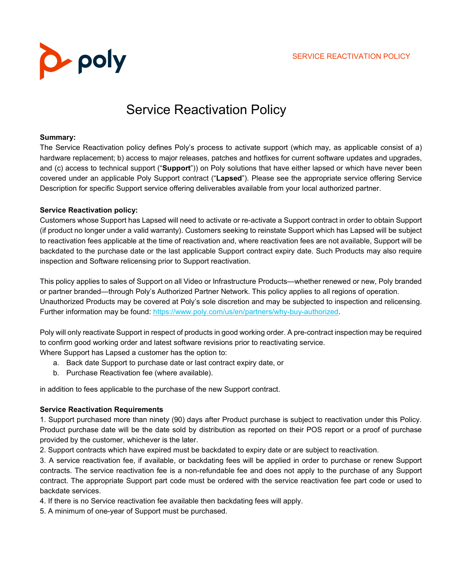

# Service Reactivation Policy

#### **Summary:**

The Service Reactivation policy defines Poly's process to activate support (which may, as applicable consist of a) hardware replacement; b) access to major releases, patches and hotfixes for current software updates and upgrades, and (c) access to technical support ("**Support**")) on Poly solutions that have either lapsed or which have never been covered under an applicable Poly Support contract ("**Lapsed**"). Please see the appropriate service offering Service Description for specific Support service offering deliverables available from your local authorized partner.

#### **Service Reactivation policy:**

Customers whose Support has Lapsed will need to activate or re-activate a Support contract in order to obtain Support (if product no longer under a valid warranty). Customers seeking to reinstate Support which has Lapsed will be subject to reactivation fees applicable at the time of reactivation and, where reactivation fees are not available, Support will be backdated to the purchase date or the last applicable Support contract expiry date. Such Products may also require inspection and Software relicensing prior to Support reactivation.

This policy applies to sales of Support on all Video or Infrastructure Products—whether renewed or new, Poly branded or partner branded—through Poly's Authorized Partner Network. This policy applies to all regions of operation. Unauthorized Products may be covered at Poly's sole discretion and may be subjected to inspection and relicensing. Further information may be found: [https://www.poly.com/us/en/partners/why-buy-authorized.](https://www.poly.com/us/en/partners/why-buy-authorized)

Poly will only reactivate Support in respect of products in good working order. A pre-contract inspection may be required to confirm good working order and latest software revisions prior to reactivating service.

Where Support has Lapsed a customer has the option to:

- a. Back date Support to purchase date or last contract expiry date, or
- b. Purchase Reactivation fee (where available).

in addition to fees applicable to the purchase of the new Support contract.

### **Service Reactivation Requirements**

1. Support purchased more than ninety (90) days after Product purchase is subject to reactivation under this Policy. Product purchase date will be the date sold by distribution as reported on their POS report or a proof of purchase provided by the customer, whichever is the later.

2. Support contracts which have expired must be backdated to expiry date or are subject to reactivation.

3. A service reactivation fee, if available, or backdating fees will be applied in order to purchase or renew Support contracts. The service reactivation fee is a non-refundable fee and does not apply to the purchase of any Support contract. The appropriate Support part code must be ordered with the service reactivation fee part code or used to backdate services.

4. If there is no Service reactivation fee available then backdating fees will apply.

5. A minimum of one-year of Support must be purchased.